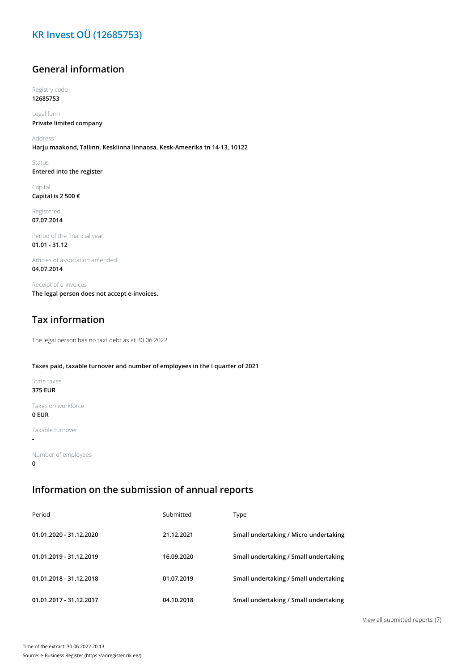# **KR Invest OÜ (12685753)**

### **General information**

Registry code **12685753**

Legal form **Private limited company**

Address **Harju maakond, Tallinn, Kesklinna linnaosa, Kesk-Ameerika tn 14-13, 10122**

Status **Entered into the register**

Capital **Capital is 2 500 €**

Registered **07.07.2014**

Period of the financial year **01.01 - 31.12**

Articles of association amended **04.07.2014**

Receipt of e-invoices **The legal person does not accept e-invoices.**

# **Tax information**

The legal person has no taxt debt as at 30.06.2022.

#### **Taxes paid, taxable turnover and number of employees in the I quarter of 2021**

State taxes **375 EUR**

Taxes on workforce **0 EUR**

Taxable turnover

**-**

Number of employees **0**

#### **Information on the submission of annual reports**

| Period                  | Submitted  | Type                                  |
|-------------------------|------------|---------------------------------------|
| 01.01.2020 - 31.12.2020 | 21.12.2021 | Small undertaking / Micro undertaking |
| 01.01.2019 - 31.12.2019 | 16.09.2020 | Small undertaking / Small undertaking |
| 01.01.2018 - 31.12.2018 | 01.07.2019 | Small undertaking / Small undertaking |
| 01.01.2017 - 31.12.2017 | 04.10.2018 | Small undertaking / Small undertaking |

View all submitted reports (7)